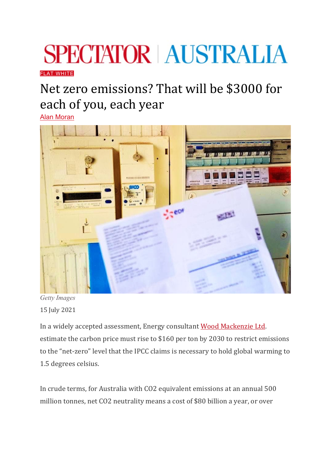## **SPECTATOR | AUSTRALIA**

## [FLAT WHITE](https://www.spectator.com.au/category/flat-white/)

## Net zero emissions? That will be \$3000 for each of you, each year

[Alan Moran](https://www.spectator.com.au/author/alanmoran/)



*Getty Images* 15 July 2021

In a widely accepted assessment, Energy consultant [Wood Mackenzie Ltd.](https://www.regulationeconomics.com/so/d6NY72YaN/c?w=wQPHLMn6aGBxuXJrI-WRTvu1TXT19-aqbXJNvtJ4TEg.eyJ1IjoiaHR0cHM6Ly93d3cuYmxvb21iZXJnLmNvbS9uZXdzL2FydGljbGVzLzIwMjEtMDMtMDQvYS02MDAtZ2Fpbi1pbi1jYXJib24tcHJpY2VzLXZpdGFsLXRvLWtlZXAtZ2xvYmFsLXdhcm1pbmctYXQtYmF5P21jX2NpZD00Yzg1NDcwYTRiJm1jX2VpZD1iNTNhNTkyYWI4IiwiciI6IjNhOWI1NzgyLTI2NDAtNDI5MS1mY2RkLTNlZjMwOGMzOGM1NCIsIm0iOiJtYWlsX2xwIiwiYyI6IjY4M2FiMTI5LWZjNjAtNGY5MS05NjNkLWRkNjdmN2QzNWYwOCJ9)  estimate the carbon price must rise to \$160 per ton by 2030 to restrict emissions to the "net-zero" level that the IPCC claims is necessary to hold global warming to 1.5 degrees celsius.

In crude terms, for Australia with CO2 equivalent emissions at an annual 500 million tonnes, net CO2 neutrality means a cost of \$80 billion a year, or over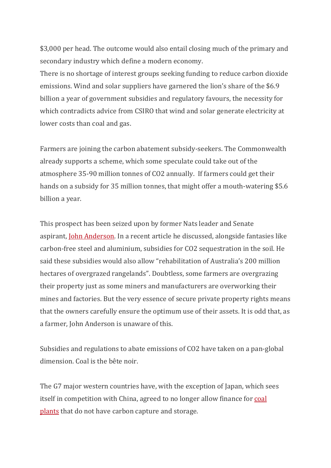\$3,000 per head. The outcome would also entail closing much of the primary and secondary industry which define a modern economy.

There is no shortage of interest groups seeking funding to reduce carbon dioxide emissions. Wind and solar suppliers have garnered the lion's share of the \$6.9 billion a year of government subsidies and regulatory favours, the necessity for which contradicts advice from CSIRO that wind and solar generate electricity at lower costs than coal and gas.

Farmers are joining the carbon abatement subsidy-seekers. The Commonwealth already supports a scheme, which some speculate could take out of the atmosphere 35-90 million tonnes of CO2 annually. If farmers could get their hands on a subsidy for 35 million tonnes, that might offer a mouth-watering \$5.6 billion a year.

This prospect has been seized upon by former Nats leader and Senate aspirant, [John Anderson.](https://www.theaustralian.com.au/inquirer/were-at-ground-zero-on-carbon-emissions-target/news-story/672df3f72118bf6248b554624d55beff) In a recent article he discussed, alongside fantasies like carbon-free steel and aluminium, subsidies for CO2 sequestration in the soil. He said these subsidies would also allow "rehabilitation of Australia's 200 million hectares of overgrazed rangelands". Doubtless, some farmers are overgrazing their property just as some miners and manufacturers are overworking their mines and factories. But the very essence of secure private property rights means that the owners carefully ensure the optimum use of their assets. It is odd that, as a farmer, John Anderson is unaware of this.

Subsidies and regulations to abate emissions of CO2 have taken on a pan-global dimension. Coal is the bête noir.

The G7 major western countries have, with the exception of Japan, which sees itself in competition with China, agreed to no longer allow finance for [coal](https://www.regulationeconomics.com/so/e2Nd1f9tc/c?w=sBv-dYAnzI1T_AixuoQsammL8ZdVJQuMqzWI4OdrSD8.eyJ1IjoiaHR0cHM6Ly93d3cudGhlZ3VhcmRpYW4uY29tL2Vudmlyb25tZW50LzIwMjEvbWF5LzIxL3JpY2hlc3QtbmF0aW9ucy1hZ3JlZS10by1lbmQtc3VwcG9ydC1mb3ItY29hbC1wcm9kdWN0aW9uLW92ZXJzZWFzIiwiciI6ImNiYmM4MDNkLTk4OTEtNDcyMC00NWEyLTBhNmE0YTNmYmZjNiIsIm0iOiJscCJ9)  [plants](https://www.regulationeconomics.com/so/e2Nd1f9tc/c?w=sBv-dYAnzI1T_AixuoQsammL8ZdVJQuMqzWI4OdrSD8.eyJ1IjoiaHR0cHM6Ly93d3cudGhlZ3VhcmRpYW4uY29tL2Vudmlyb25tZW50LzIwMjEvbWF5LzIxL3JpY2hlc3QtbmF0aW9ucy1hZ3JlZS10by1lbmQtc3VwcG9ydC1mb3ItY29hbC1wcm9kdWN0aW9uLW92ZXJzZWFzIiwiciI6ImNiYmM4MDNkLTk4OTEtNDcyMC00NWEyLTBhNmE0YTNmYmZjNiIsIm0iOiJscCJ9) that do not have carbon capture and storage.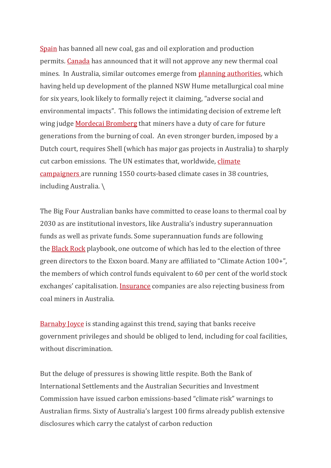[Spain](https://www.regulationeconomics.com/so/e2Nd1f9tc/c?w=poYSMpY-U_cA0qeFWobhEpWkR8qYtiftGAcFLJ8RXe4.eyJ1IjoiaHR0cHM6Ly93d3cuY2xpbWF0ZWNoYW5nZW5ld3MuY29tLzIwMjEvMDUvMTQvc3BhaW4tZW5kLWZvc3NpbC1mdWVsLXByb2R1Y3Rpb24tMjA0Mi1uZXctY2xpbWF0ZS1sYXcvIiwiciI6IjJiMWFkZDFiLTY4ZjUtNGJiNi0yY2EwLTg2OTBkMjBlOTMxMCIsIm0iOiJscCJ9) has banned all new coal, gas and oil exploration and production permits. [Canada](https://www.regulationeconomics.com/so/8fNfSX0CI/c?w=XdWqV7JV_QF41TpodBjw5lBxS3YjtLkDzrmO4HNkFRU.eyJ1IjoiaHR0cHM6Ly93d3cuY2FuYWRhLmNhL2VuL2Vudmlyb25tZW50LWNsaW1hdGUtY2hhbmdlL25ld3MvMjAyMS8wNi9nb3Zlcm5tZW50LW9mLWNhbmFkYS1yZWxlYXNlcy1wb2xpY3ktc3RhdGVtZW50LW9uLWZ1dHVyZS10aGVybWFsLWNvYWwtbWluaW5nLXByb2plY3RzLWFuZC1wcm9qZWN0LWV4cGFuc2lvbnMuaHRtbCIsInIiOiI3NDY1ZDVmYy1hMzU3LTRlNzAtZThiNS1iOTk4MjQ0MTQwYWQiLCJtIjoibHAifQ) has announced that it will not approve any new thermal coal mines.  In Australia, similar outcomes emerge from [planning authorities,](https://www.regulationeconomics.com/so/8fNfSX0CI/c?w=Vm6860sAmhGdnZY2HXdkwOyqovKvON8B6tQ-uaFroxo.eyJ1IjoiaHR0cHM6Ly93d3cuaXBjbi5uc3cuZ292LmF1L3Byb2plY3RzLzIwMjEvMDYvaHVtZS1jb2FsLXByb2plY3QtYW5kLWJlcnJpbWEtcmFpbC1wcm9qZWN0LXNzZC03MTcyLWFuZC1zc2QtNzE3MS1zZWNvbmQtcmVmZXJyYWwiLCJyIjoiNzQ2NWQ1ZmMtYTM1Ny00ZTcwLWU4YjUtYjk5ODI0NDE0MGFkIiwibSI6ImxwIn0) which having held up development of the planned NSW Hume metallurgical coal mine for six years, look likely to formally reject it claiming, "adverse social and environmental impacts".  This follows the intimidating decision of extreme left wing judge [Mordecai Bromberg](https://www.regulationeconomics.com/so/8fNfSX0CI/c?w=3BKi1aRCqbEwt2RSRLfd_DeQK6VNZWSsL5Gea2ubMjQ.eyJ1IjoiaHR0cHM6Ly93d3cuYWJjLm5ldC5hdS9uZXdzLzIwMjEtMDUtMjcvY2xpbWF0ZS1jbGFzcy1hY3Rpb24tdGVlbmFnZXJzLXZpY2tlcnktY29hbC1taW5lLWxlZ2FsLXByZWNlZGVudC8xMDAxNjkzOTgiLCJyIjoiNzQ2NWQ1ZmMtYTM1Ny00ZTcwLWU4YjUtYjk5ODI0NDE0MGFkIiwibSI6ImxwIn0) that miners have a duty of care for future generations from the burning of coal. An even stronger burden, imposed by a Dutch court, requires Shell (which has major gas projects in Australia) to sharply cut carbon emissions. The UN estimates that, worldwide, [climate](https://www.regulationeconomics.com/so/e2Nd1f9tc/c?w=rXyKQDfWBvlftN5n1IuM9R1fkUjP-nvQh-QHw2l4j1M.eyJ1IjoiaHR0cHM6Ly93d3cuaXVjbi5vcmcvbmV3cy93b3JsZC1jb21taXNzaW9uLWVudmlyb25tZW50YWwtbGF3LzIwMjEwMS9jb3VydHJvb21zLWFyZS1hLW5ldy1mcm9udGllci1jb21iYXRpbmctY2xpbWF0ZS1jcmlzaXMiLCJyIjoiMmIxYWRkMWItNjhmNS00YmI2LTJjYTAtODY5MGQyMGU5MzEwIiwibSI6ImxwIn0)  [campaigners](https://www.regulationeconomics.com/so/e2Nd1f9tc/c?w=rXyKQDfWBvlftN5n1IuM9R1fkUjP-nvQh-QHw2l4j1M.eyJ1IjoiaHR0cHM6Ly93d3cuaXVjbi5vcmcvbmV3cy93b3JsZC1jb21taXNzaW9uLWVudmlyb25tZW50YWwtbGF3LzIwMjEwMS9jb3VydHJvb21zLWFyZS1hLW5ldy1mcm9udGllci1jb21iYXRpbmctY2xpbWF0ZS1jcmlzaXMiLCJyIjoiMmIxYWRkMWItNjhmNS00YmI2LTJjYTAtODY5MGQyMGU5MzEwIiwibSI6ImxwIn0) are running 1550 courts-based climate cases in 38 countries, including Australia. \

The Big Four Australian banks have committed to cease loans to thermal coal by 2030 as are institutional investors, like Australia's industry superannuation funds as well as private funds. Some superannuation funds are following the [Black Rock](https://www.regulationeconomics.com/so/8fNfSX0CI/c?w=fvtbKwJ_y2hzp9qVPFun1G2bf2NIuDv3FBST02XqVXM.eyJ1IjoiaHR0cHM6Ly93c2ouY29tL2FydGljbGVzL2FjdGl2aXN0LWxpa2VseS10by1nYWluLXRoaXJkLXNlYXQtb24tZXh4b24tYm9hcmQtMTE2MjI2NjQ3NTc_cmVmbGluaz1kZXNrdG9wd2Vic2hhcmVfdHdpdHRlciUyMHZpYSUyMCUyMCUyMEBXU0oiLCJyIjoiMDRhZGFlZmYtZGEzNC00ZmRmLWQxMWUtYzE3ZGJiOTA5ODU4IiwibSI6ImxwIn0) playbook, one outcome of which has led to the election of three green directors to the Exxon board. Many are affiliated to "Climate Action 100+", the members of which control funds equivalent to 60 per cent of the world stock exchanges' capitalisation. [Insurance](https://www.regulationeconomics.com/so/8fNfSX0CI/c?w=rmdR_rJgx3ocKx5QkW0dVSQMPFUFOrSlTmuY9DOJU1k.eyJ1IjoiaHR0cHM6Ly93d3cudGhlYXVzdHJhbGlhbi5jb20uYXUvYnVzaW5lc3MvbWluaW5nLWVuZXJneS9jb2FsLWluZHVzdHJ5LWZhY2VzLWluc3VyYW5jZS1sZW5kaW5nLWNydW5jaC1hZnRlci1jbGltYXRlLW1vdmVzL25ld3Mtc3RvcnkvNjM1ZTY2YTlkYzcxZThlNTFkMzEzNzQ4MjQ5NTIzMDAiLCJyIjoiMDRhZGFlZmYtZGEzNC00ZmRmLWQxMWUtYzE3ZGJiOTA5ODU4IiwibSI6ImxwIn0) companies are also rejecting business from coal miners in Australia.

[Barnaby Joyce](https://www.regulationeconomics.com/so/8fNfSX0CI/c?w=IXdeljjqEPvY0UdBukaJfyxWorcK6P8c4M2Sy91L2ok.eyJ1IjoiaHR0cHM6Ly93d3cueW91dHViZS5jb20vd2F0Y2g_dj1ZbzMwZFl1YW4xQSIsInIiOiIwNGFkYWVmZi1kYTM0LTRmZGYtZDExZS1jMTdkYmI5MDk4NTgiLCJtIjoibHAifQ) is standing against this trend, saying that banks receive government privileges and should be obliged to lend, including for coal facilities, without discrimination.

But the deluge of pressures is showing little respite. Both the Bank of International Settlements and the Australian Securities and Investment Commission have issued carbon emissions-based "climate risk" warnings to Australian firms. Sixty of Australia's largest 100 firms already publish extensive disclosures which carry the catalyst of carbon reduction